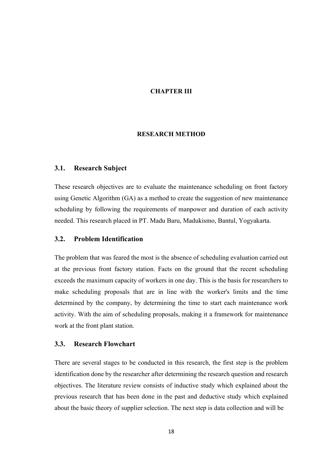#### CHAPTER III

#### RESEARCH METHOD

### 3.1. Research Subject

These research objectives are to evaluate the maintenance scheduling on front factory using Genetic Algorithm (GA) as a method to create the suggestion of new maintenance scheduling by following the requirements of manpower and duration of each activity needed. This research placed in PT. Madu Baru, Madukismo, Bantul, Yogyakarta.

# 3.2. Problem Identification

The problem that was feared the most is the absence of scheduling evaluation carried out at the previous front factory station. Facts on the ground that the recent scheduling exceeds the maximum capacity of workers in one day. This is the basis for researchers to make scheduling proposals that are in line with the worker's limits and the time determined by the company, by determining the time to start each maintenance work activity. With the aim of scheduling proposals, making it a framework for maintenance work at the front plant station.

#### 3.3. Research Flowchart

There are several stages to be conducted in this research, the first step is the problem identification done by the researcher after determining the research question and research objectives. The literature review consists of inductive study which explained about the previous research that has been done in the past and deductive study which explained about the basic theory of supplier selection. The next step is data collection and will be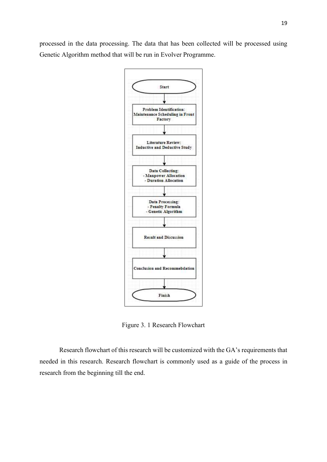processed in the data processing. The data that has been collected will be processed using Genetic Algorithm method that will be run in Evolver Programme.



Figure 3. 1 Research Flowchart

Research flowchart of this research will be customized with the GA's requirements that needed in this research. Research flowchart is commonly used as a guide of the process in research from the beginning till the end.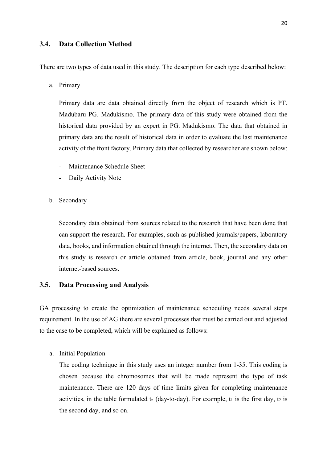### 3.4. Data Collection Method

There are two types of data used in this study. The description for each type described below:

a. Primary

Primary data are data obtained directly from the object of research which is PT. Madubaru PG. Madukismo. The primary data of this study were obtained from the historical data provided by an expert in PG. Madukismo. The data that obtained in primary data are the result of historical data in order to evaluate the last maintenance activity of the front factory. Primary data that collected by researcher are shown below:

- Maintenance Schedule Sheet
- Daily Activity Note
- b. Secondary

Secondary data obtained from sources related to the research that have been done that can support the research. For examples, such as published journals/papers, laboratory data, books, and information obtained through the internet. Then, the secondary data on this study is research or article obtained from article, book, journal and any other internet-based sources.

### 3.5. Data Processing and Analysis

GA processing to create the optimization of maintenance scheduling needs several steps requirement. In the use of AG there are several processes that must be carried out and adjusted to the case to be completed, which will be explained as follows:

a. Initial Population

The coding technique in this study uses an integer number from 1-35. This coding is chosen because the chromosomes that will be made represent the type of task maintenance. There are 120 days of time limits given for completing maintenance activities, in the table formulated  $t_n$  (day-to-day). For example,  $t_1$  is the first day,  $t_2$  is the second day, and so on.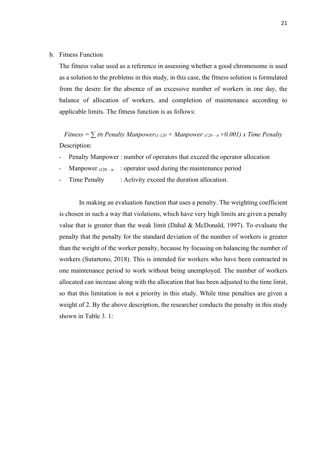#### b. Fitness Function

The fitness value used as a reference in assessing whether a good chromosome is used as a solution to the problems in this study, in this case, the fitness solution is formulated from the desire for the absence of an excessive number of workers in one day, the balance of allocation of workers, and completion of maintenance according to applicable limits. The fitness function is as follows:

Fitness =  $\sum$  ( $\sigma$  Penalty Manpower<sub>t1-120</sub> + Manpower <sub>t120 – n</sub> +0.001) x Time Penalty Description:

- Penalty Manpower : number of operators that exceed the operator allocation
- Manpower  $t_{120-n}$  : operator used during the maintenance period
- Time Penalty : Activity exceed the duration allocation.

In making an evaluation function that uses a penalty. The weighting coefficient is chosen in such a way that violations, which have very high limits are given a penalty value that is greater than the weak limit (Dahal & McDonald, 1997). To evaluate the penalty that the penalty for the standard deviation of the number of workers is greater than the weight of the worker penalty, because by focusing on balancing the number of workers (Sutartono, 2018). This is intended for workers who have been contracted in one maintenance period to work without being unemployed. The number of workers allocated can increase along with the allocation that has been adjusted to the time limit, so that this limitation is not a priority in this study. While time penalties are given a weight of 2. By the above description, the researcher conducts the penalty in this study shown in Table 3. 1: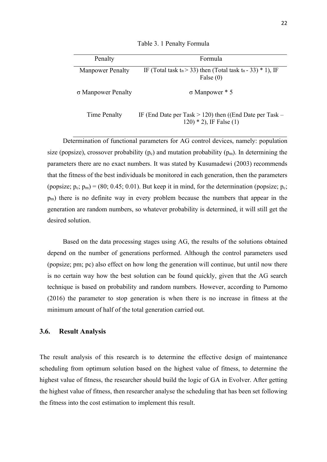| Penalty                 | Formula                                                                                                 |
|-------------------------|---------------------------------------------------------------------------------------------------------|
| <b>Manpower Penalty</b> | IF (Total task t <sub>n</sub> $>$ 33) then (Total task t <sub>n</sub> $-$ 33) $*$ 1), IF<br>False $(0)$ |
| σ Manpower Penalty      | $\sigma$ Manpower $*$ 5                                                                                 |
| Time Penalty            | IF (End Date per Task $> 120$ ) then ((End Date per Task –<br>$(120) * 2$ , IF False $(1)$              |

Table 3. 1 Penalty Formula

Determination of functional parameters for AG control devices, namely: population size (popsize), crossover probability ( $p_c$ ) and mutation probability ( $p_m$ ). In determining the parameters there are no exact numbers. It was stated by Kusumadewi (2003) recommends that the fitness of the best individuals be monitored in each generation, then the parameters (popsize;  $p_c$ ;  $p_m$ ) = (80; 0.45; 0.01). But keep it in mind, for the determination (popsize;  $p_c$ ; pm) there is no definite way in every problem because the numbers that appear in the generation are random numbers, so whatever probability is determined, it will still get the desired solution.

Based on the data processing stages using AG, the results of the solutions obtained depend on the number of generations performed. Although the control parameters used (popsize; pm; pc) also effect on how long the generation will continue, but until now there is no certain way how the best solution can be found quickly, given that the AG search technique is based on probability and random numbers. However, according to Purnomo (2016) the parameter to stop generation is when there is no increase in fitness at the minimum amount of half of the total generation carried out.

#### 3.6. Result Analysis

The result analysis of this research is to determine the effective design of maintenance scheduling from optimum solution based on the highest value of fitness, to determine the highest value of fitness, the researcher should build the logic of GA in Evolver. After getting the highest value of fitness, then researcher analyse the scheduling that has been set following the fitness into the cost estimation to implement this result.